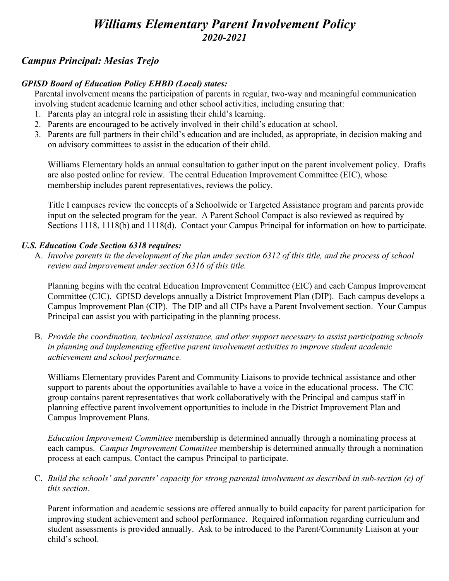# *Williams Elementary Parent Involvement Policy 2020-2021*

# *Campus Principal: Mesias Trejo*

## *GPISD Board of Education Policy EHBD (Local) states:*

Parental involvement means the participation of parents in regular, two-way and meaningful communication involving student academic learning and other school activities, including ensuring that:

- 1. Parents play an integral role in assisting their child's learning.
- 2. Parents are encouraged to be actively involved in their child's education at school.
- 3. Parents are full partners in their child's education and are included, as appropriate, in decision making and on advisory committees to assist in the education of their child.

Williams Elementary holds an annual consultation to gather input on the parent involvement policy. Drafts are also posted online for review. The central Education Improvement Committee (EIC), whose membership includes parent representatives, reviews the policy.

Title I campuses review the concepts of a Schoolwide or Targeted Assistance program and parents provide input on the selected program for the year. A Parent School Compact is also reviewed as required by Sections 1118, 1118(b) and 1118(d). Contact your Campus Principal for information on how to participate.

### *U.S. Education Code Section 6318 requires:*

A. *Involve parents in the development of the plan under section 6312 of this title, and the process of school review and improvement under section 6316 of this title.*

Planning begins with the central Education Improvement Committee (EIC) and each Campus Improvement Committee (CIC). GPISD develops annually a District Improvement Plan (DIP). Each campus develops a Campus Improvement Plan (CIP). The DIP and all CIPs have a Parent Involvement section. Your Campus Principal can assist you with participating in the planning process.

B. *Provide the coordination, technical assistance, and other support necessary to assist participating schools in planning and implementing effective parent involvement activities to improve student academic achievement and school performance.*

Williams Elementary provides Parent and Community Liaisons to provide technical assistance and other support to parents about the opportunities available to have a voice in the educational process. The CIC group contains parent representatives that work collaboratively with the Principal and campus staff in planning effective parent involvement opportunities to include in the District Improvement Plan and Campus Improvement Plans.

*Education Improvement Committee* membership is determined annually through a nominating process at each campus. *Campus Improvement Committee* membership is determined annually through a nomination process at each campus. Contact the campus Principal to participate.

C. *Build the schools' and parents' capacity for strong parental involvement as described in sub-section (e) of this section.*

Parent information and academic sessions are offered annually to build capacity for parent participation for improving student achievement and school performance. Required information regarding curriculum and student assessments is provided annually. Ask to be introduced to the Parent/Community Liaison at your child's school.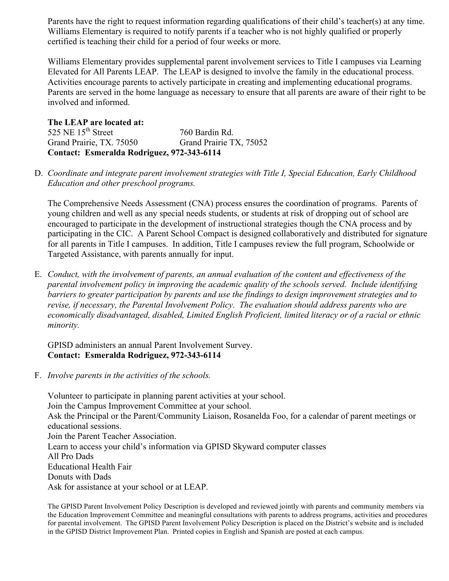Parents have the right to request information regarding qualifications of their child's teacher(s) at any time. Williams Elementary is required to notify parents if a teacher who is not highly qualified or properly certified is teaching their child for a period of four weeks or more.

Williams Elementary provides supplemental parent involvement services to Title I campuses via Learning Elevated for All Parents LEAP. The LEAP is designed to involve the family in the educational process. Activities encourage parents to actively participate in creating and implementing educational programs. Parents are served in the home language as necessary to ensure that all parents are aware of their right to be involved and informed.

**The LEAP are located at:** 525 NE 15<sup>th</sup> Street 760 Bardin Rd. Grand Prairie, TX. 75050 Grand Prairie TX, 75052 **Contact: Esmeralda Rodriguez, 972-343-6114**

D. *Coordinate and integrate parent involvement strategies with Title I, Special Education, Early Childhood Education and other preschool programs.*

The Comprehensive Needs Assessment (CNA) process ensures the coordination of programs. Parents of young children and well as any special needs students, or students at risk of dropping out of school are encouraged to participate in the development of instructional strategies though the CNA process and by participating in the CIC. A Parent School Compact is designed collaboratively and distributed for signature for all parents in Title I campuses. In addition, Title I campuses review the full program, Schoolwide or Targeted Assistance, with parents annually for input.

E. *Conduct, with the involvement of parents, an annual evaluation of the content and effectiveness of the parental involvement policy in improving the academic quality of the schools served. Include identifying barriers to greater participation by parents and use the findings to design improvement strategies and to revise, if necessary, the Parental Involvement Policy. The evaluation should address parents who are economically disadvantaged, disabled, Limited English Proficient, limited literacy or of a racial or ethnic minority.*

#### GPISD administers an annual Parent Involvement Survey. **Contact: Esmeralda Rodriguez, 972-343-6114**

F. *Involve parents in the activities of the schools.*

Volunteer to participate in planning parent activities at your school. Join the Campus Improvement Committee at your school. Ask the Principal or the Parent/Community Liaison, Rosanelda Foo, for a calendar of parent meetings or educational sessions. Join the Parent Teacher Association. Learn to access your child's information via GPISD Skyward computer classes All Pro Dads Educational Health Fair Donuts with Dads Ask for assistance at your school or at LEAP.

The GPISD Parent Involvement Policy Description is developed and reviewed jointly with parents and community members via the Education Improvement Committee and meaningful consultations with parents to address programs, activities and procedures for parental involvement. The GPISD Parent Involvement Policy Description is placed on the District's website and is included in the GPISD District Improvement Plan. Printed copies in English and Spanish are posted at each campus.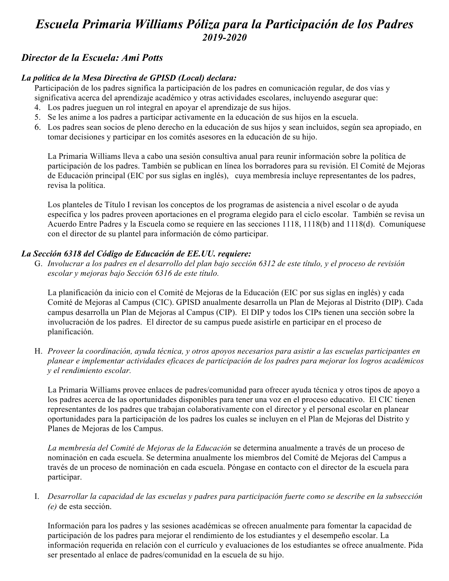# *Escuela Primaria Williams Póliza para la Participación de los Padres 2019-2020*

## *Director de la Escuela: Ami Potts*

### *La política de la Mesa Directiva de GPISD (Local) declara:*

Participación de los padres significa la participación de los padres en comunicación regular, de dos vías y significativa acerca del aprendizaje académico y otras actividades escolares, incluyendo asegurar que:

- 4. Los padres jueguen un rol integral en apoyar el aprendizaje de sus hijos.
- 5. Se les anime a los padres a participar activamente en la educación de sus hijos en la escuela.
- 6. Los padres sean socios de pleno derecho en la educación de sus hijos y sean incluidos, según sea apropiado, en tomar decisiones y participar en los comités asesores en la educación de su hijo.

La Primaria Williams lleva a cabo una sesión consultiva anual para reunir información sobre la política de participación de los padres. También se publican en línea los borradores para su revisión. El Comité de Mejoras de Educación principal (EIC por sus siglas en inglés), cuya membresía incluye representantes de los padres, revisa la política.

Los planteles de Título I revisan los conceptos de los programas de asistencia a nivel escolar o de ayuda específica y los padres proveen aportaciones en el programa elegido para el ciclo escolar. También se revisa un Acuerdo Entre Padres y la Escuela como se requiere en las secciones 1118, 1118(b) and 1118(d). Comuníquese con el director de su plantel para información de cómo participar.

#### *La Sección 6318 del Código de Educación de EE.UU. requiere:*

G. *Involucrar a los padres en el desarrollo del plan bajo sección 6312 de este título, y el proceso de revisión escolar y mejoras bajo Sección 6316 de este título.* 

La planificación da inicio con el Comité de Mejoras de la Educación (EIC por sus siglas en inglés) y cada Comité de Mejoras al Campus (CIC). GPISD anualmente desarrolla un Plan de Mejoras al Distrito (DIP). Cada campus desarrolla un Plan de Mejoras al Campus (CIP). El DIP y todos los CIPs tienen una sección sobre la involucración de los padres. El director de su campus puede asistirle en participar en el proceso de planificación.

H. *Proveer la coordinación, ayuda técnica, y otros apoyos necesarios para asistir a las escuelas participantes en planear e implementar actividades eficaces de participación de los padres para mejorar los logros académicos y el rendimiento escolar.* 

La Primaria Williams provee enlaces de padres/comunidad para ofrecer ayuda técnica y otros tipos de apoyo a los padres acerca de las oportunidades disponibles para tener una voz en el proceso educativo. El CIC tienen representantes de los padres que trabajan colaborativamente con el director y el personal escolar en planear oportunidades para la participación de los padres los cuales se incluyen en el Plan de Mejoras del Distrito y Planes de Mejoras de los Campus.

*La membresía del Comité de Mejoras de la Educación* se determina anualmente a través de un proceso de nominación en cada escuela. Se determina anualmente los miembros del Comité de Mejoras del Campus a través de un proceso de nominación en cada escuela. Póngase en contacto con el director de la escuela para participar.

I. *Desarrollar la capacidad de las escuelas y padres para participación fuerte como se describe en la subsección (e)* de esta sección.

Información para los padres y las sesiones académicas se ofrecen anualmente para fomentar la capacidad de participación de los padres para mejorar el rendimiento de los estudiantes y el desempeño escolar. La información requerida en relación con el currículo y evaluaciones de los estudiantes se ofrece anualmente. Pida ser presentado al enlace de padres/comunidad en la escuela de su hijo.